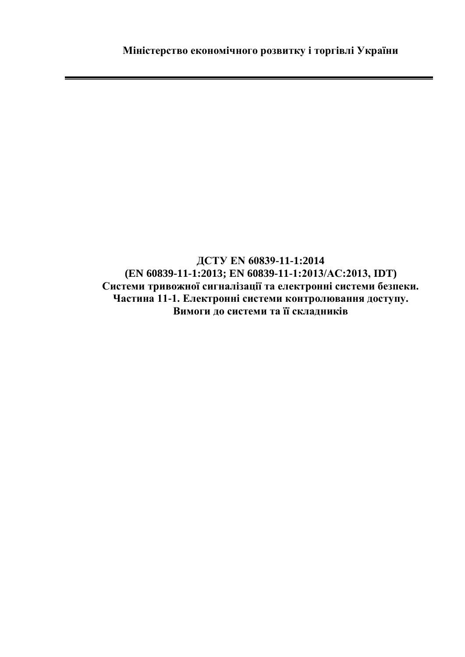**ДСТУ EN 60839-11-1:2014 (EN 60839-11-1:2013; EN 60839-11-1:2013/АС:2013, IDT) Системи тривожної сигналізації та електронні системи безпеки. Частина 11-1. Електронні системи контролювання доступу. Вимоги до системи та її складників**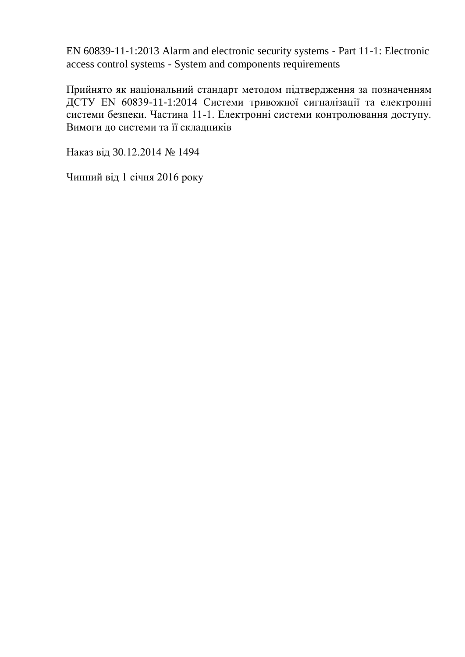EN 60839-11-1:2013 Alarm and electronic security systems - Part 11-1: Electronic access control systems - System and components requirements

Прийнято як національний стандарт методом підтвердження за позначенням ДСТУ EN 60839-11-1:2014 Системи тривожної сигналізації та електронні системи безпеки. Частина 11-1. Електронні системи контролювання доступу. Вимоги до системи та її складників

Наказ від 30.12.2014 № 1494

Чинний від 1 січня 2016 року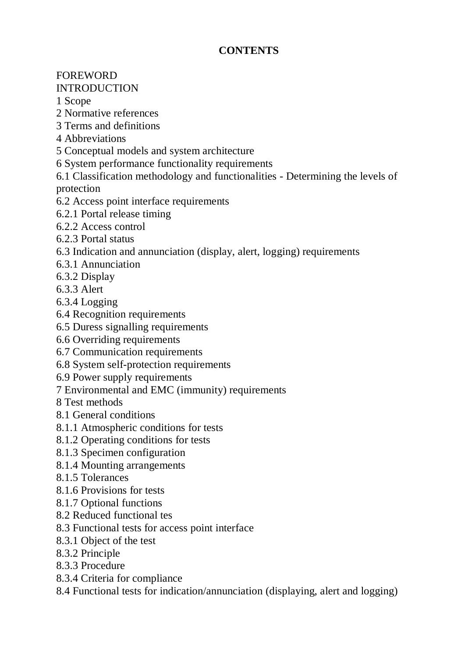## **CONTENTS**

## FOREWORD

## INTRODUCTION

- 1 Scope
- 2 Normative references
- 3 Terms and definitions
- 4 Abbreviations
- 5 Conceptual models and system architecture
- 6 System performance functionality requirements
- 6.1 Classification methodology and functionalities Determining the levels of protection
- 6.2 Access point interface requirements
- 6.2.1 Portal release timing
- 6.2.2 Access control
- 6.2.3 Portal status
- 6.3 Indication and annunciation (display, alert, logging) requirements
- 6.3.1 Annunciation
- 6.3.2 Display
- 6.3.3 Alert
- 6.3.4 Logging
- 6.4 Recognition requirements
- 6.5 Duress signalling requirements
- 6.6 Overriding requirements
- 6.7 Communication requirements
- 6.8 System self-protection requirements
- 6.9 Power supply requirements
- 7 Environmental and EMC (immunity) requirements
- 8 Test methods
- 8.1 General conditions
- 8.1.1 Atmospheric conditions for tests
- 8.1.2 Operating conditions for tests
- 8.1.3 Specimen configuration
- 8.1.4 Mounting arrangements
- 8.1.5 Tolerances
- 8.1.6 Provisions for tests
- 8.1.7 Optional functions
- 8.2 Reduced functional tes
- 8.3 Functional tests for access point interface
- 8.3.1 Object of the test
- 8.3.2 Principle
- 8.3.3 Procedure
- 8.3.4 Criteria for compliance
- 8.4 Functional tests for indication/annunciation (displaying, alert and logging)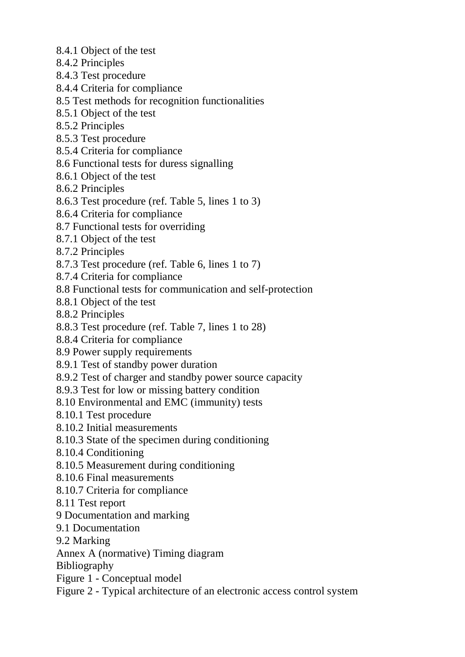- 8.4.1 Object of the test
- 8.4.2 Principles
- 8.4.3 Test procedure
- 8.4.4 Criteria for compliance
- 8.5 Test methods for recognition functionalities
- 8.5.1 Object of the test
- 8.5.2 Principles
- 8.5.3 Test procedure
- 8.5.4 Criteria for compliance
- 8.6 Functional tests for duress signalling
- 8.6.1 Object of the test
- 8.6.2 Principles
- 8.6.3 Test procedure (ref. Table 5, lines 1 to 3)
- 8.6.4 Criteria for compliance
- 8.7 Functional tests for overriding
- 8.7.1 Object of the test
- 8.7.2 Principles
- 8.7.3 Test procedure (ref. Table 6, lines 1 to 7)
- 8.7.4 Criteria for compliance
- 8.8 Functional tests for communication and self-protection
- 8.8.1 Object of the test
- 8.8.2 Principles
- 8.8.3 Test procedure (ref. Table 7, lines 1 to 28)
- 8.8.4 Criteria for compliance
- 8.9 Power supply requirements
- 8.9.1 Test of standby power duration
- 8.9.2 Test of charger and standby power source capacity
- 8.9.3 Test for low or missing battery condition
- 8.10 Environmental and EMC (immunity) tests
- 8.10.1 Test procedure
- 8.10.2 Initial measurements
- 8.10.3 State of the specimen during conditioning
- 8.10.4 Conditioning
- 8.10.5 Measurement during conditioning
- 8.10.6 Final measurements
- 8.10.7 Criteria for compliance
- 8.11 Test report
- 9 Documentation and marking
- 9.1 Documentation
- 9.2 Marking
- Annex A (normative) Timing diagram

Bibliography

- Figure 1 Conceptual model
- Figure 2 Typical architecture of an electronic access control system